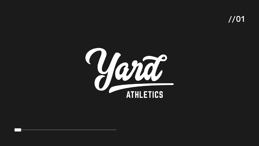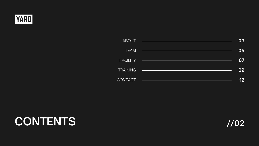## **CONTENTS //02**



| <b>ABOUT</b>    |
|-----------------|
| <b>TEAM</b>     |
| <b>FACILITY</b> |
| TRAINING        |
| CONTACT         |

| 03 |
|----|
| 05 |
| 07 |
| 09 |
| 12 |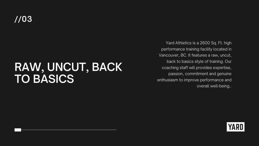## **RAW, UNCUT, BACK TO BASICS**

Yard Athletics is a 2600 Sq. Ft. high performance training facility located in Vancouver, BC. It features a raw, uncut, back to basics style of training. Our coaching staff will provides expertise, passion, commitment and genuine enthusiasm to improve performance and overall well-being..

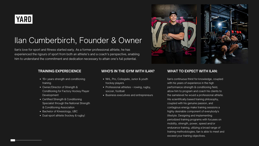

### Ilan Cumberbirch, Founder & Owner

### **TRAINING EXPERECIENCE**

- 15+ years strength and conditioning training
- Owner/Director of Strength & Conditioning for Factory Hockey Player **Development**
- Certified Strength & Conditioning Specialist through the National Strength & Conditioning Association
- Bachelor of Kinesiology, UBC
- Dual-sport athlete (hockey & rugby)

### **WHO'S IN THE GYM WITH ILAN?**

- NHL, Pro, Collegiate, Junior & youth hockey players
- Professional athletes rowing, rugby, soccer, football
- Business executives and entrepreneurs





Ilan's continuous thirst for knowledge, coupled with his years of experience in the high performance strength & conditioning field, allow him to program and coach his clients to the samelevel he would a professional athlete. His scientifically based training philosophy, coupled with his genuine passion, and contagious energy make training sessions a highly desirable component of everybody's lifestyle. Designing and implementing periodized training programs with focuses on mobility, strength, power, speed and/or endurance training, utilizing a broad range of training methodologies; Ilan is able to meet and exceed your training objectives.

### **WHAT TO EXPECT WITH ILAN:**

Ilan's love for sport and fitness started early. As a former professional athlete, he has experienced the rigours of sport from both an athlete's and a coach's perspective, enabling him to understand the commitment and dedication necessary to attain one's full potential.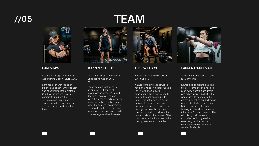#### **SAM SHAW**

Assistant Manager, Strength & Conditioning Coach - BKIN, CSCS

Sam has been working as an athlete and coach in the strength and conditioning industry since 2008. As an athlete Sam has participated at both the collegiate and university level, representing his country on the international stage during that time.



#### **TORIN NIKIFORUK**

Marketing Manager, Strength & Conditioning Coach BS, CPT, PN1

Torin's passion for fitness is celebrated in all forms of movement. Whether it's a multiday hike, or a group fitness class, he loves to find new ways to challenge both his body and mind. Torin's academic interests lie within the role exercise plays as a form of therapy; specifically in neurodegenerative diseases.

#### **LUKE WILLIAMS**

Strength & Conditioning Coach - BA HSCI, PTS

An active lifestyle and athletics have always been a part of Luke's life. A former collegiate quarterback, Luke was forced to end his football career due to injury. This setback became his catalyst for change and Luke became focused on maximizing his physical potential through training. His understanding of the human body and the power of the mind became the focal point in his training regimen and daily life.



# **TEAM**



**LAUREN O'SULLIVAN**

Strength & Conditioning Coach - BFA, MM, PTS

Lauren's dedication to an active lifestyle came out of a need to step away from the academic and subsequent 9-5 desk. The opportunity to connect with a community of like-minded, active people, be it while back-country hiking, at spin, or strength training, is what drove Lauren's interest in Personal Training. The mind-body shift as a result of consistent and progressive exercise gives Lauren the balance needed to tackle all facets of daily life.

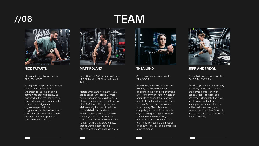## **TEAM**



Head Strength & Conditioning Coach - NCCP Level 1, IFA Fitness & Health **Training** 

#### **MATT ROLAND**

Matt ran track and field all through grade school until grade 9 where hockey became his main focus. He played until junior year in high school at an AAA level. After graduation, Matt went right into working in the tool and die industry where his athletic pursuits were put on hold. After 6 years in the industry, he realized that this lifestyle wasn't the right fit for him. Matt always knew that he wanted some level of physical activity and health in his life.



#### **THEA LUND**

Strength & Conditioning Coach - PTS, GGS-1

Before weight training entered the picture, Thea developed her discipline in the world of performing arts. Her commitment to 16 years of competitive dance training shaped her into the athlete (and coach) she is today. Since then, she's gone from running 21km distances to competing at the National Level in Olympic Weightlifting for 4+ years. Thea believes the best way for trainers to learn more about their craft is by truly testing themselves on both the physical and mental side of performance.



### **//06**



### **NICK TATARYN**

Strength & Conditioning Coach - DPT, BSc, CSCS

Having been in sport since the age of 4 till present day, Nick understands the love of being active while staying healthy, no matter what that may look like to each individual. Nick combines his clinical knowledge as a physiotherapist with his programming and experience as a strength coach to provide a wellrounded, wholistic approach to each individual's training.

### **JEFF ANDERSON**

Strength & Conditioning Coach - BA, DPLM, CSCS, PN1

Growing up, Jeff was always very physically active. Jeff excelled and played competitively in hockey, rugby, football, and basketball. Other activities such as hiking and waterskiing are among his passions. Jeff is also furthering his knowledge and experience as an intern Strength and Conditioning Coach at Simon Fraser University.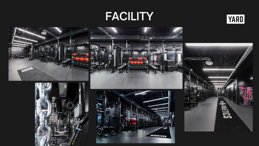# **FACILITY**











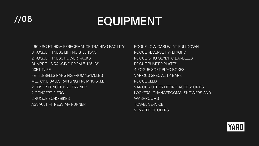2600 SQ FT HIGH PERFORMANCE TRAINING FACILITY 6 ROGUE FITNESS LIFTING STATIONS 2 ROGUE FITNESS POWER RACKS DUMBBELLS RANGING FROM 5-125LBS 50FT TURF KETTLEBELLS RANGING FROM 15-175LBS MEDICINE BALLS RANGING FROM 10-50LB 2 KEISER FUNCTIONAL TRAINER 2 CONCEPT 2 ERG 2 ROGUE ECHO BIKES ASSAULT FITNESS AIR RUNNER

ROGUE LOW CABLE/LAT PULLDOWN ROGUE REVERSE HYPER/GHD ROGUE OHIO OLYMPIC BARBELLS ROGUE BUMPER PLATES 4 ROGUE SOFT PLYO BOXES VARIOUS SPECIALITY BARS ROGUE SLED VARIOUS OTHER LIFTING ACCESSORIES LOCKERS, CHANGEROOMS, SHOWERS AND WASHROOMS TOWEL SERVICE 2 WATER COOLERS



# **//08 EQUIPMENT**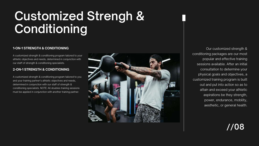# **Customized Strengh & Conditioning**

Our customized strength & conditioning packages are our most popular and effective training sessions available. After an initial consultation to determine your physical goals and objectives, a customized training program is built out and put into action so as to attain and exceed your athletic aspirations be they strength, power, endurance, mobility, aesthetic, or general health.



A customized strength & conditioning program tailored to your athletic objectives and needs, determined in conjunction with our staff of strength & conditioning specialists.

### **1-ON-1 STRENGTH & CONDITIONING**

A customized strength & conditioning program tailored to you and your training partner's athletic objectives and needs, determined in conjunction with our staff of strength & conditioning specialists. NOTE: All doubles training sessions must be applied in conjunction with another training partner.



### **2-ON-1 STRENGTH & CONDITIONING**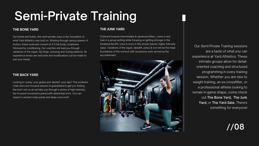# **Semi-Private Training**

Our Semi-Private Training sessions are a taste of what you can experience at Yard Athletics. These intimate groups allow for detailoriented coaching and structured programming in every training session. Whether you are new to weight training, an ex-crossfitter, or a professional athlete looking to remain in-game shape, come check out The [Bone](https://yardathletics.ca/workouts/#bone-yard) Yard, The Junk [Yard](https://yardathletics.ca/workouts/#yard-sale), or The Yard Sale. [There's](https://yardathletics.ca/workouts/#junk-yard) something for everyone!

**//08**

Our bread and butter, this semi-private class is the foundation of what Yard Athletics was built on. Working through various planes of motion, these workouts consist of 2-3 full body complexes followed by conditioning. Our coaches will lead you through variations of the squat, hip hinge, pressing and rowing patterns. All experience levels are welcome and modifications can be made to suit your needs.

### **THE BONE YARD**

tCatered towards intermediate & advanced lifters, come in and train in a group setting while focusing on getting stronger in the fundamental lifts. Less is more in this slower-paced, higher intensity class. Variations of the squat, deadlift, press & row will be the meat & potatoes of the workout with accessory work served as the accoutrement.



#### **THE JUNK YARD**

Looking to 'pump' your glutes and 'abolish' your abs? This posterior chain and core focused session is guaranteed to get you feeling the burn! Join us as we take you through a series of high-intensity, hip focused movements paired with abdominal work. You can expect a wicked 'rump pump' and deep core work!

### **THE BACK YARD**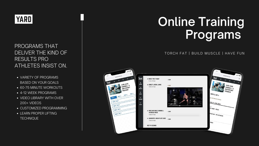### **YARD**

### PROGRAMS THAT DELIVER THE KIND OF RESULTS PRO ATHLETES INSIST ON.

# **Online Training P r o g r a m s**

### TORCH FAT | BUILD MUSCLE | HAVE FUN

- VARIETY OF PROGRAMS BASED ON YOUR GOALS
- 60-75 MINUTE WORKOUTS
- 4-12 WEEK PROGRAMS
- VIDEO LIBRARY WITH OVER 200+ VIDEOS
- CUSTOMIZED PROGRAMMING
- LEARN PROPER LIFTING **TECHNIQUE**